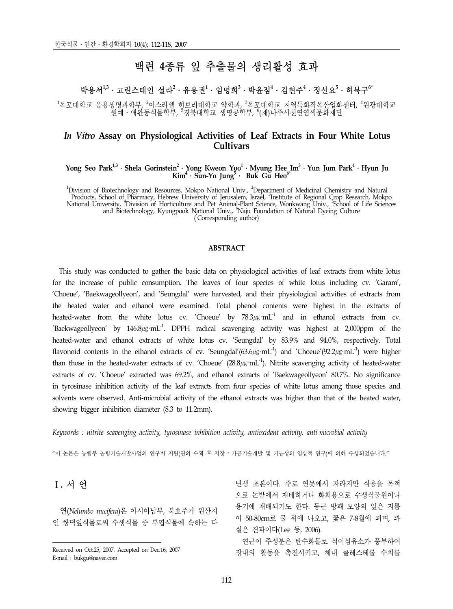# 백련 **4**종류 잎 추출물의 생리활성 효과

# 박용서<sup>1,3</sup>・고린스테인 셜라<sup>2</sup>・유용권<sup>1</sup>・임명희<sup>3</sup>・박윤점<sup>4</sup>・김현주<sup>4</sup>・정선요<sup>5</sup>・허북구<sup>6\*</sup>

<sup>1</sup>목포대학교 응용생명과학부, <sup>2</sup>이스라엘 히브리대학교 약학과, <sup>3</sup>목포대학교 지역특화작목산업화센터, <sup>4</sup>원광대학교<br>원예ㆍ애완동식물학부, '경북대학교 생명공학부, '(재)나주시천연염색문화재단

# *In Vitro* **Assay on Physiological Activities of Leaf Extracts in Four White Lotus Cultivars**

#### **Yong Seo Park1,3**․**Shela Gorinstein2** ․**Yong Kweon Yoo1** ․**Myung Hee Im3** ․**Yun Jum Park4** ․**Hyun Ju Kim4** ․**Sun-Yo Jung5** ․ **Buk Gu Heo6\***

<sup>1</sup>Division of Biotechnology and Resources, Mokpo National Univ., <sup>2</sup>Department of Medicinal Chemistry and Natural<br>Products, School of Pharmacy, Hebrew University of Jerusalem, Israel, <sup>3</sup>Institute of Regional Crop Researc (Corresponding author)

#### **ABSTRACT**

 This study was conducted to gather the basic data on physiological activities of leaf extracts from white lotus for the increase of public consumption. The leaves of four species of white lotus including cv. 'Garam', 'Choeue', 'Baekwageollyeon', and 'Seungdal' were harvested, and their physiological activities of extracts from the heated water and ethanol were examined. Total phenol contents were highest in the extracts of heated-water from the white lotus cv. 'Choeue' by  $78.3 \mu$ g·mL<sup>-1</sup> and in ethanol extracts from cv. 'Baekwageollyeon' by  $146.8\mu$ g·mL<sup>-1</sup>. DPPH radical scavenging activity was highest at 2,000ppm of the heated-water and ethanol extracts of white lotus cv. 'Seungdal' by 83.9% and 94.0%, respectively. Total flavonoid contents in the ethanol extracts of cv. 'Seungdal'(63.6µg·mL<sup>-1</sup>) and 'Choeue'(92.2µg·mL<sup>-1</sup>) were higher than those in the heated-water extracts of cv. 'Choeue'  $(28.8\mu\text{g}\cdot\text{mL}^{-1})$ . Nitrite scavenging activity of heated-water extracts of cv. 'Choeue' extracted was 69.2%, and ethanol extracts of 'Baekwageollyeon' 80.7%. No significance in tyrosinase inhibition activity of the leaf extracts from four species of white lotus among those species and solvents were observed. Anti-microbial activity of the ethanol extracts was higher than that of the heated water, showing bigger inhibition diameter (8.3 to 11.2mm).

*Keywords : nitrite scavenging activity, tyrosinase inhibition activity, antioxidant activity, anti-microbial activity*

"이 논문은 농림부 농림기술개발사업의 연구비 지원(연의 수확 후 저장․가공기술개발 및 기능성의 임상적 연구)에 의해 수행되었습니다."

# Ⅰ**.** 서 언

 연(*Nelumbo nucifera*)은 아시아남부, 북호주가 원산지 인 쌍떡잎식물로써 수생식물 중 부엽식물에 속하는 다 년생 초본이다. 주로 연못에서 자라지만 식용을 목적 으로 논밭에서 재배하거나 화훼용으로 수생식물원이나 용기에 재배되기도 한다. 둥근 방패 모양의 잎은 지름 이 50-80cm로 물 위에 나오고, 꽃은 7-8월에 피며, 과 실은 견과이다(Lee 등, 2006).

 연근이 주성분은 탄수화물로 식이섬유소가 풍부하여 장내의 활동을 촉진시키고, 체내 콜레스테롤 수치를

Received on Oct.25, 2007. Accepted on Dec.16, 2007 E-mail : bukgu@naver.com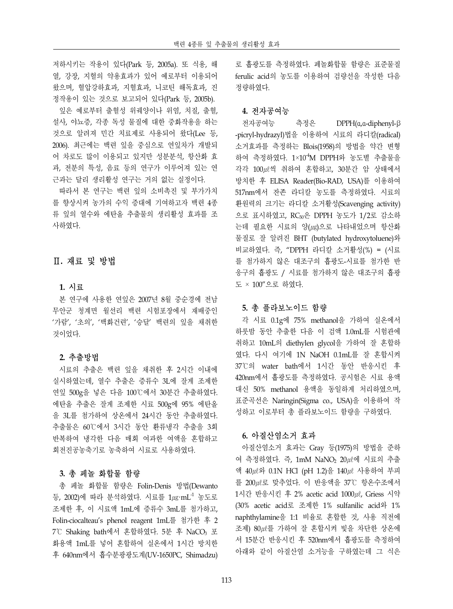저하시키는 작용이 있다(Park 등, 2005a). 또 식용, 해 열, 강장, 지혈의 약용효과가 있어 예로부터 이용되어 왔으며, 혈압강하효과, 지혈효과, 니코틴 해독효과, 진 정작용이 있는 것으로 보고되어 있다(Park 등, 2005b).

 잎은 예로부터 출혈성 위궤양이나 위염, 치질, 출혈, 설사, 야뇨증, 각종 독성 물질에 대한 중화작용을 하는 것으로 알려져 민간 치료제로 사용되어 왔다(Lee 등, 2006). 최근에는 백련 잎을 중심으로 연잎차가 개발되 어 차로도 많이 이용되고 있지만 성분분석, 항산화 효 과, 전분의 특성, 음료 등의 연구가 이루어져 있는 연 근과는 달리 생리활성 연구는 거의 없는 실정이다.

 따라서 본 연구는 백련 잎의 소비촉진 및 부가가치 를 향상시켜 농가의 수익 증대에 기여하고자 백련 4종 류 잎의 열수와 에탄올 추출물의 생리활성 효과를 조 사하였다.

# Ⅱ**.** 재료 및 방법

### **1.** 시료

 본 연구에 사용한 연잎은 2007년 8월 중순경에 전남 무안군 청계면 월선리 백련 시험포장에서 재배중인 '가람', '초의', '백화건련', '승달' 백련의 잎을 채취한 것이었다.

# **2.** 추출방법

 시료의 추출은 백련 잎을 채취한 후 2시간 이내에 실시하였는데, 열수 추출은 증류수 3L에 잘게 조제한 연잎 500g을 넣은 다음 100℃에서 30분간 추출하였다. 에탄올 추출은 잘게 조제한 시료 500g에 95% 에탄올 을 3L를 첨가하여 상온에서 24시간 동안 추출하였다. 추출물은 60℃에서 3시간 동안 환류냉각 추출을 3회 반복하여 냉각한 다음 매회 여과한 여액을 혼합하고 회전진공농축기로 농축하여 시료로 사용하였다.

## **3.** 총 페놀 화합물 함량

 총 페놀 화합물 함량은 Folin-Denis 방법(Dewanto 등, 2002)에 따라 분석하였다. 시료를  $1\mu$ g·mL<sup>-1</sup> 농도로 조제한 후, 이 시료액 1mL에 증류수 3mL를 첨가하고, Folin-ciocalteau's phenol reagent 1mL를 첨가한 후 2 7℃ Shaking bath에서 혼합하였다. 5분 후 NaCO3 포 화용액 1mL를 넣어 혼합하여 실온에서 1시간 방치한 후 640nm에서 흡수분광광도계(UV-1650PC, Shimadzu)

로 흡광도를 측정하였다. 페놀화합물 함량은 표준물질 ferulic acid의 농도를 이용하여 검량선을 작성한 다음 정량하였다.

#### **4.** 전자공여능

 전자공여능 측정은 DPPH(α,α-diphenyl-β -picryl-hydrazyl)법을 이용하여 시료의 라디칼(radical) 소거효과를 측정하는 Blois(1958)의 방법을 약간 변형 하여 측정하였다. 1×10-4M DPPH와 농도별 추출물을 각각 100㎕씩 취하여 혼합하고, 30분간 암 상태에서 방치한 후 ELISA Reader(Bio-RAD, USA)를 이용하여 517nm에서 잔존 라디칼 농도를 측정하였다. 시료의 환원력의 크기는 라디칼 소거활성(Scavenging activity) 으로 표시하였고, RC50은 DPPH 농도가 1/2로 감소하 는데 필요한 시료의 양(㎍)으로 나타내었으며 항산화 물질로 잘 알려진 BHT (butylated hydroxytoluene)와 비교하였다. 즉, "DPPH 라디칼 소거활성(%) = (시료 를 첨가하지 않은 대조구의 흡광도-시료를 첨가한 반 응구의 흡광도 / 시료를 첨가하지 않은 대조구의 흡광 도 × 100"으로 하였다.

## **5.** 총 플라보노이드 함량

 각 시료 0.1g에 75% methanol을 가하여 실온에서 하룻밤 동안 추출한 다음 이 검액 1.0mL를 시험관에 취하고 10mL의 diethylen glycol을 가하여 잘 혼합하 였다. 다시 여기에 1N NaOH 0.1mL를 잘 혼합시켜 37℃의 water bath에서 1시간 동안 반응시킨 후 420nm에서 흡광도를 측정하였다. 공시험은 시료 용액 대신 50% methanol 용액을 동일하게 처리하였으며, 표준곡선은 Naringin(Sigma co., USA)을 이용하여 작 성하고 이로부터 총 플라보노이드 함량을 구하였다.

## **6.** 아질산염소거 효과

 아질산염소거 효과는 Gray 등(1975)의 방법을 준하 여 측정하였다. 즉, 1mM NaNO2 20㎕에 시료의 추출 액 40㎕와 0.1N HCl (pH 1.2)을 140㎕ 사용하여 부피 를 200㎕로 맞추었다. 이 반응액을 37℃ 항온수조에서 1시간 반응시킨 후 2% acetic acid 1000㎕, Griess 시약 (30% acetic acid로 조제한 1% sulfanilic acid와 1% naphthylamine을 1:1 비율로 혼합한 것, 사용 직전에 조제) 80㎕를 가하여 잘 혼합시켜 빛을 차단한 상온에 서 15분간 반응시킨 후 520nm에서 흡광도를 측정하여 아래와 같이 아질산염 소거능을 구하였는데 그 식은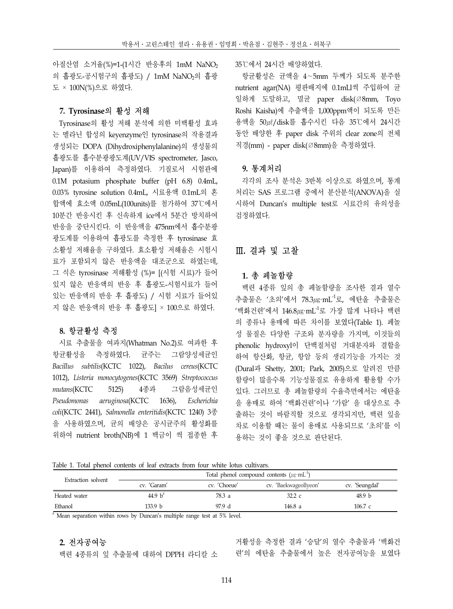아질산염 소거율(%)=1-(1시간 반응후의 1mM NaNO<sub>2</sub> 의 흡광도-공시험구의 흡광도) / 1mM NaNO2의 흡광 도 × 100N(%)으로 하였다.

#### **7. Tyrosinase**의 활성 저해

Tyrosinase의 활성 저해 분석에 의한 미백활성 효과 는 멜라닌 합성의 keyenzyme인 tyrosinase의 작용결과 생성되는 DOPA (Dihydroxiphenylalanine)의 생성물의 흡광도를 흡수분광광도계(UV/VIS spectrometer, Jasco, Japan)를 이용하여 측정하였다. 기질로서 시험관에 0.1M potasium phosphate buffer (pH 6.8) 0.4mL, 0.03% tyrosine solution 0.4mL, 시료용액 0.1mL의 혼 합액에 효소액 0.05mL(100units)를 첨가하여 37℃에서 10분간 반응시킨 후 신속하게 ice에서 5분간 방치하여 반응을 중단시킨다. 이 반응액을 475nm에서 흡수분광 광도계를 이용하여 흡광도를 측정한 후 tyrosinase 효 소활성 저해율을 구하였다. 효소활성 저해율은 시험시 료가 포함되지 않은 반응액을 대조군으로 하였는데, 그 식은 tyrosinase 저해활성 (%)= [(시험 시료)가 들어 있지 않은 반응액의 반응 후 흡광도-시험시료가 들어 있는 반응액의 반응 후 흡광도) / 시험 시료가 들어있 지 않은 반응액의 반응 후 흡광도] × 100으로 하였다.

#### **8.** 항균활성 측정

 시료 추출물을 여과지(Whatman No.2)로 여과한 후 항균활성을 측정하였다. 균주는 그람양성세균인 *Bacillus subtilis*(KCTC 1022), *Bacilus cereus*(KCTC 1012), *Listeria monocytogenes*(KCTC 3569) *Streptococcus mutans*(KCTC 5125) 4종과 그람음성세균인 *Pseudomonas aeruginosa*(KCTC 1636), *Escherichia coli*(KCTC 2441), *Salmonella enteritidis*(KCTC 1240) 3종 을 사용하였으며, 균의 배양은 공시균주의 활성화를 위하여 nutrient broth(NB)에 1 백금이 씩 접종한 후 35℃에서 24시간 배양하였다.

 항균활성은 균액을 4∼5mm 두께가 되도록 분주한 nutrient agar(NA) 평판배지에 0.1mLl씩 주입하여 균 일하게 도말하고, 멸균 paper disk(∅8mm, Toyo Roshi Kaisha)에 추출액을 1,000ppm액이 되도록 만든 용액을 50㎕/disk를 흡수시킨 다음 35℃에서 24시간 동안 배양한 후 paper disk 주위의 clear zone의 전체 직경(mm) - paper disk(∅8mm)을 측정하였다.

### **9.** 통계처리

 각각의 조사 분석은 3반복 이상으로 하였으며, 통계 처리는 SAS 프로그램 중에서 분산분석(ANOVA)을 실 시하여 Duncan's multiple test로 시료간의 유의성을 검정하였다.

# Ⅲ**.** 결과 및 고찰

## **1.** 총 페놀함량

 백련 4종류 잎의 총 페놀함량을 조사한 결과 열수 추출물은 '초의'에서 78.3㎍·mL-1로, 에탄올 추출물은  $'$ 백화건련'에서 146.8µg·mL<sup>-1</sup>로 가장 많게 나타나 백련 의 종류나 용매에 따른 차이를 보였다(Table 1). 페놀 성 물질은 다양한 구조와 분자량을 가지며, 이것들의 phenolic hydroxyl이 단백질처럼 거대분자와 결합을 하여 항산화, 항균, 항암 등의 생리기능을 가지는 것 (Dural과 Shetty, 2001; Park, 2005)으로 알려진 만큼 함량이 많을수록 기능성물질로 유용하게 활용할 수가 있다. 그러므로 총 페놀함량의 수율측면에서는 에탄올 을 용매로 하여 '백화건련'이나 '가람' 을 대상으로 추 출하는 것이 바람직할 것으로 생각되지만, 백련 잎을 차로 이용할 때는 물이 용매로 사용되므로 '초의'를 이 용하는 것이 좋을 것으로 판단된다.

Table 1. Total phenol contents of leaf extracts from four white lotus cultivars.

| Extraction solvent | Total phenol compound contents $(\mu g \cdot mL^{-1})$ |              |                       |                   |  |  |  |  |
|--------------------|--------------------------------------------------------|--------------|-----------------------|-------------------|--|--|--|--|
|                    | cv. 'Garam'                                            | cv. 'Choeue' | cv. 'Baekwageollyeon' | cv. 'Seungdal'    |  |  |  |  |
| Heated water       | 44.9 $h^z$                                             | 78.3 a       | 32.2 c                | 48.9 <sub>b</sub> |  |  |  |  |
| Ethanol            | 133.9 h                                                | 97.9 d       | 146.8 a               | 106.7c            |  |  |  |  |

 $\frac{z}{z}$  Mean separation within rows by Duncan's multiple range test at 5% level.

## **2.** 전자공여능

백련 4종류의 잎 추출물에 대하여 DPPH 라디칼 소

거활성을 측정한 결과 '승달'의 열수 추출물과 '백화건 련'의 에탄올 추출물에서 높은 전자공여능을 보였다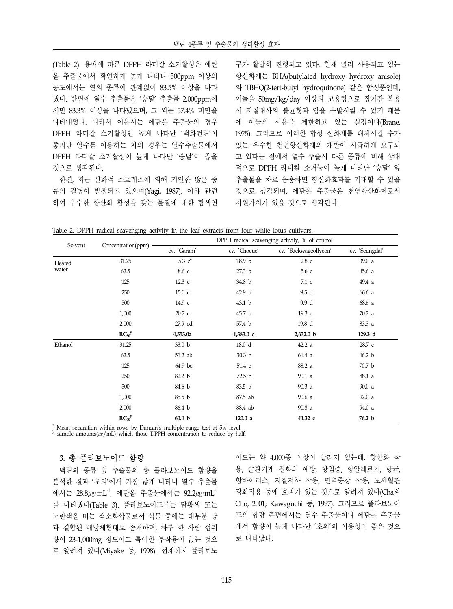(Table 2). 용매에 따른 DPPH 라디칼 소거활성은 에탄 올 추출물에서 확연하게 높게 나타나 500ppm 이상의 농도에서는 연의 종류에 관계없이 83.5% 이상을 나타 냈다. 반면에 열수 추출물은 '승달' 추출물 2,000ppm에 서만 83.3% 이상을 나타냈으며, 그 외는 57.4% 미만을 나타내었다. 따라서 이용시는 에탄올 추출물의 경우 DPPH 라디칼 소거활성인 높게 나타난 '백화건련'이 좋지만 열수를 이용하는 차의 경우는 열수추출물에서 DPPH 라디칼 소거활성이 높게 나타난 '승달'이 좋을 것으로 생각된다.

 한편, 최근 산화적 스트레스에 의해 기인한 많은 종 류의 질병이 발생되고 있으며(Yagi, 1987), 이와 관련 하여 우수한 항산화 활성을 갖는 물질에 대한 탐색연 구가 활발히 진행되고 있다. 현재 널리 사용되고 있는 항산화제는 BHA(butylated hydroxy hydroxy anisole) 와 TBHQ(2-tert-butyl hydroquinone) 같은 합성품인데, 이들을 50mg/kg/day 이상의 고용량으로 장기간 복용 시 지질대사의 불균형과 암을 유발시킬 수 있기 때문 에 이들의 사용을 제한하고 있는 실정이다(Brane, 1975). 그러므로 이러한 합성 산화제를 대체시킬 수가 있는 우수한 천연항산화제의 개발이 시급하게 요구되 고 있다는 점에서 열수 추출시 다른 종류에 비해 상대 적으로 DPPH 라디칼 소거능이 높게 나타난 '승달' 잎 추출물을 차로 음용하면 항산화효과를 기대할 수 있을 것으로 생각되며, 에탄올 추출물은 천연항산화제로서 자원가치가 있을 것으로 생각된다.

Table 2. DPPH radical scavenging activity in the leaf extracts from four white lotus cultivars.

| Solvent |                        | DPPH radical scavenging activity, % of control |                   |                       |                |  |  |  |
|---------|------------------------|------------------------------------------------|-------------------|-----------------------|----------------|--|--|--|
|         | Concentration(ppm) ·   | cv. 'Garam'                                    | cv. 'Choeue'      | cv. 'Baekwageollyeon' | cv. 'Seungdal' |  |  |  |
| Heated  | 31.25                  | 5.3 $c^z$                                      | 18.9 b            | $2.8\,c$              | 39.0 a         |  |  |  |
| water   | 62.5                   | 8.6 с                                          | 27.3 b            | 5.6 с                 | 45.6a          |  |  |  |
|         | 125                    | 12.3c                                          | 34.8 b            | 7.1 с                 | 49.4 a         |  |  |  |
|         | 250                    | 15.0c                                          | 42.9 b            | 9.5 d                 | 66.6 a         |  |  |  |
|         | 500                    | 14.9 с                                         | 43.1 <sub>b</sub> | 9.9 d                 | 68.6 a         |  |  |  |
|         | 1,000                  | 20.7 c                                         | 45.7 b            | 19.3 с                | 70.2 a         |  |  |  |
|         | 2,000                  | 27.9 cd                                        | 57.4 b            | 19.8 d                | 83.3 a         |  |  |  |
|         | $RC_{50}$ <sup>y</sup> | 4,553.0a                                       | 1,383.0c          | 2,632.0 b             | 129.3 d        |  |  |  |
| Ethanol | 31.25                  | 33.0 b                                         | 18.0 d            | 42.2a                 | 28.7 с         |  |  |  |
|         | 62.5                   | 51.2 ab                                        | 30.3 с            | 66.4 a                | 46.2 b         |  |  |  |
|         | 125                    | 64.9 bc                                        | 51.4 с            | 88.2 a                | 70.7 b         |  |  |  |
|         | 250                    | 82.2 b                                         | 72.5 с            | 90.1a                 | 88.1 a         |  |  |  |
|         | 500                    | 84.6 b                                         | 83.5 b            | 90.3a                 | 90.0 a         |  |  |  |
|         | 1,000                  | 85.5 b                                         | 87.5 ab           | 90.6a                 | 92.0 a         |  |  |  |
|         | 2,000                  | 86.4 b                                         | 88.4 ab           | 90.8a                 | 94.0 a         |  |  |  |
|         | $RC_{50}$ <sup>y</sup> | 60.4 b                                         | 120.0 a           | 41.32 с               | 76.2 b         |  |  |  |

Mean separation within rows by Duncan's multiple range test at 5% level. sample amounts( $\mu$ g/mL) which those DPPH concentration to reduce by half.

# **3.** 총 플라보노이드 함량

 백련의 종류 잎 추출물의 총 플라보노이드 함량을 분석한 결과 '초의'에서 가장 많게 나타나 열수 추출물 에서는 28.8 $\mu$ g·mL $^{-1}$ , 에탄올 추출물에서는 92.2 $\mu$ g·mL $^{-1}$ 를 나타냈다(Table 3). 플라보노이드류는 담황색 또는 노란색을 띠는 색소화합물로서 식물 중에는 대부분 당 과 결합된 배당체형태로 존재하며, 하루 한 사람 섭취 량이 23-1,000mg 정도이고 특이한 부작용이 없는 것으 로 알려져 있다(Miyake 등, 1998). 현재까지 플라보노 이드는 약 4,000종 이상이 알려져 있는데, 항산화 작 용, 순환기계 질화의 예방, 항염증, 항알레르기, 항균, 항바이러스, 지질저하 작용, 면역증강 작용, 모세혈관 강화작용 등에 효과가 있는 것으로 알려져 있다(Cha와 Cho, 2001; Kawaguchi 등, 1997). 그러므로 플라보노이 드의 함량 측면에서는 열수 추출물이나 에탄올 추출물 에서 함량이 높게 나타난 '초의'의 이용성이 좋은 것으 로 나타났다.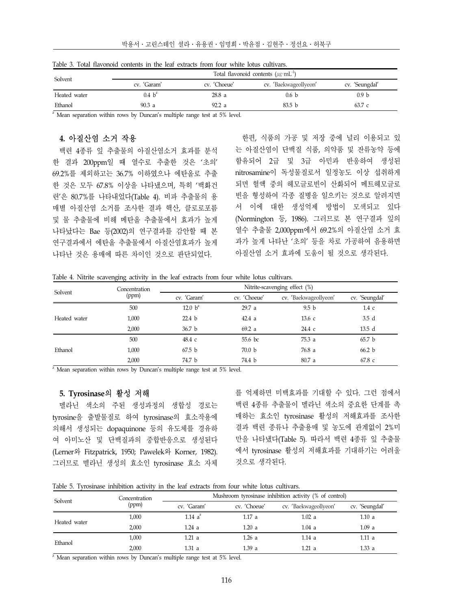| Solvent      | Total flavonoid contents $(\mu g \cdot mL^{-1})$ |              |                       |                  |  |  |  |  |
|--------------|--------------------------------------------------|--------------|-----------------------|------------------|--|--|--|--|
|              | cv. 'Garam'                                      | cv. 'Choeue' | cv. 'Baekwageollyeon' | cv. 'Seungdal'   |  |  |  |  |
| Heated water | $0.4 h^2$                                        | 28.8 a       | 0.6 b                 | 0.9 <sub>b</sub> |  |  |  |  |
| Ethanol      | 90.3a                                            | 92.2a        | 83.5 <sub>b</sub>     | 63.7c            |  |  |  |  |

Table 3. Total flavonoid contents in the leaf extracts from four white lotus cultivars.

 $\overline{z}$  Mean separation within rows by Duncan's multiple range test at 5% level.

# **4.** 아질산염 소거 작용

 백련 4종류 잎 추출물의 아질산염소거 효과를 분석 한 결과 200ppm일 때 열수로 추출한 것은 '초의' 69.2%를 제외하고는 36.7% 이하였으나 에탄올로 추출 한 것은 모두 67.8% 이상을 나타냈으며, 특히 '백화건 련'은 80.7%를 나타내었다(Table 4). 비파 추출물의 용 매별 아질산염 소거를 조사한 결과 핵산, 클로로포름 및 물 추출물에 비해 메탄올 추출물에서 효과가 높게 나타났다는 Bae 등(2002)의 연구결과를 감안할 때 본 연구결과에서 에탄올 추출물에서 아질산염효과가 높게 나타난 것은 용매에 따른 차이인 것으로 판단되었다.

 한편, 식품의 가공 및 저장 중에 널리 이용되고 있 는 아질산염이 단백질 식품, 의약품 및 잔류농약 등에 함유되어 2급 및 3급 아민과 반응하여 생성된 nitrosamine이 독성물질로서 일정농도 이상 섭취하게 되면 혈액 중의 헤모글로빈이 산화되어 메트헤모글로 빈을 형성하여 각종 질병을 일으키는 것으로 알려지면 서 이에 대한 생성억제 방법이 모색되고 있다 (Normington 등, 1986). 그러므로 본 연구결과 잎의 열수 추출물 2,000ppm에서 69.2%의 아질산염 소거 효 과가 높게 나타난 '초의' 등을 차로 가공하여 음용하면 아질산염 소거 효과에 도움이 될 것으로 생각된다.

Table 4. Nitrite scavenging activity in the leaf extracts from four white lotus cultivars.

| Solvent      | Concentration | Nitrite-scavenging effect (%) |                   |                       |                   |  |  |  |
|--------------|---------------|-------------------------------|-------------------|-----------------------|-------------------|--|--|--|
|              | (ppm)         | cv. 'Garam'                   | cv. 'Choeue'      | cv. 'Baekwageollyeon' | cv. 'Seungdal'    |  |  |  |
|              | 500           | 12.0 $b^z$                    | 29.7a             | 9.5 <sub>b</sub>      | $1.4\,c$          |  |  |  |
| Heated water | 1.000         | 22.4 <sub>b</sub>             | 42.4a             | $13.6\text{ c}$       | 3.5d              |  |  |  |
|              | 2,000         | 36.7 <sub>b</sub>             | 69.2 a            | 24.4 с                | 13.5 <sub>d</sub> |  |  |  |
|              | 500           | 48.4 с                        | 55.6 bc           | 75.3a                 | 65.7 <sub>b</sub> |  |  |  |
| Ethanol      | 1.000         | 67.5 <sub>b</sub>             | 70.0 <sub>b</sub> | 76.8 a                | 66.2 b            |  |  |  |
|              | 2,000         | 74.7 b                        | 74.4 b            | 80.7a                 | 67.8 с            |  |  |  |

 $2^{\circ}$  Mean separation within rows by Duncan's multiple range test at 5% level.

#### **5. Tyrosinase**의 활성 저해

 멜라닌 색소의 주된 생성과정의 생합성 경로는 tyrosine을 출발물질로 하여 tyrosinase의 효소작용에 의해서 생성되는 dopaquinone 등의 유도체를 경유하 여 아미노산 및 단백질과의 중합반응으로 생성된다 (Lerner와 Fitzpatrick, 1950; Pawelek와 Korner, 1982). 그러므로 멜라닌 생성의 효소인 tyrosinase 효소 자체

를 억제하면 미백효과를 기대할 수 있다. 그런 점에서 백련 4종류 추출물이 멜라닌 색소의 중요한 단계를 촉 매하는 효소인 tyrosinase 활성의 저해효과를 조사한 결과 백련 종류나 추출용매 및 농도에 관계없이 2%미 만을 나타냈다(Table 5). 따라서 백련 4종류 잎 추출물 에서 tyrosinase 활성의 저해효과를 기대하기는 어려울 것으로 생각된다.

|  |  | Table 5. Tyrosinase inhibition activity in the leaf extracts from four white lotus cultivars. |  |  |  |  |  |  |  |  |  |  |  |
|--|--|-----------------------------------------------------------------------------------------------|--|--|--|--|--|--|--|--|--|--|--|
|--|--|-----------------------------------------------------------------------------------------------|--|--|--|--|--|--|--|--|--|--|--|

| Solvent      | Concentration | Mushroom tyrosinase inhibition activity (% of control) |              |                       |                |  |  |  |
|--------------|---------------|--------------------------------------------------------|--------------|-----------------------|----------------|--|--|--|
|              | (ppm)         | cv. 'Garam'                                            | cv. 'Choeue' | cv. 'Baekwageollyeon' | cv. 'Seungdal' |  |  |  |
| Heated water | 1,000         | 1.14 $a^z$                                             | 1.17a        | 1.02a                 | 1.10a          |  |  |  |
|              | 2.000         | 1.24a                                                  | 1.20a        | 1.04a                 | 1.09a          |  |  |  |
| Ethanol      | 1.000         | 1.21a                                                  | 1.26a        | 1.14a                 | 1.11a          |  |  |  |
|              | 2.000         | 1.31a                                                  | 1.39 a       | 1.21 a                | 1.33a          |  |  |  |

 $\overline{z}$  Mean separation within rows by Duncan's multiple range test at 5% level.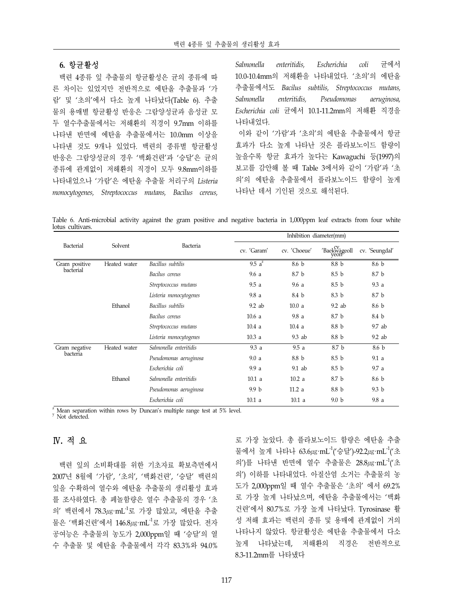#### **6.** 항균활성

 백련 4종류 잎 추출물의 항균활성은 균의 종류에 따 른 차이는 있었지만 전반적으로 에탄올 추출물과 '가 람' 및 '초의'에서 다소 높게 나타났다(Table 6). 추출 물의 용매별 항균활성 반응은 그람양성균과 음성균 모 두 열수추출물에서는 저해환의 직경이 9.7mm 이하를 나타낸 반면에 에탄올 추출물에서는 10.0mm 이상을 나타낸 것도 9개나 있었다. 백련의 종류별 항균활성 반응은 그람양성균의 경우 '백화건련'과 '승달'은 균의 종류에 관계없이 저해환의 직경이 모두 9.8mm이하를 나타내었으나 '가람'은 에탄올 추출물 처리구의 *Listeria monocytogenes, Streptococcus mutans, Bacilus cereus,* 

*Salmonella enteritidis, Escherichia coli* 균에서 10.0-10.4mm의 저해환을 나타내었다. '초의'의 에탄올 추출물에서도 *Bacilus subtilis, Streptococcus mutans, Salmonella enteritidis, Pseudomonas aeruginosa, Escherichia coli* 균에서 10.1-11.2mm의 저해환 직경을 나타내었다. 이와 같이 '가람'과 '초의'의 에탄올 추출물에서 항균 효과가 다소 높게 나타난 것은 플라보노이드 함량이 높을수록 항균 효과가 높다는 Kawaguchi 등(1997)의 보고를 감안해 볼 때 Table 3에서와 같이 '가람'과 '초 의'의 에탄올 추출물에서 플라보노이드 함량이 높게 나타난 데서 기인된 것으로 해석된다.

Table 6. Anti-microbial activity against the gram positive and negative bacteria in 1,000ppm leaf extracts from four white lotus cultivars.

|               |              |                        | Inhibition diameter(mm) |              |                       |                  |  |
|---------------|--------------|------------------------|-------------------------|--------------|-----------------------|------------------|--|
| Bacterial     | Solvent      | Bacteria               | cv. 'Garam'             | cv. 'Choeue' | 'Baekwageoll<br>yeone | cv. 'Seungdal'   |  |
| Gram positive | Heated water | Bacillus subtilis      | $9.5\overline{a^2}$     | 8.6 b        | 8.8 b                 | 8.6 b            |  |
| bacterial     |              | Bacilus cereus         | 9.6a                    | 8.7 b        | 8.5 <sub>b</sub>      | 8.7 b            |  |
|               |              | Streptococcus mutans   | 9.5a                    | 9.6a         | 8.5 <sub>b</sub>      | 9.3a             |  |
|               |              | Listeria monocytogenes | 9.8a                    | 8.4 b        | 8.3 b                 | 8.7 b            |  |
|               | Ethanol      | Bacillus subtilis      | $9.2$ ab                | 10.0a        | $9.2$ ab              | 8.6 b            |  |
|               |              | Bacilus cereus         | 10.6a                   | 9.8a         | 8.7 b                 | 8.4 b            |  |
|               |              | Streptococcus mutans   | 10.4a                   | 10.4a        | 8.8 b                 | 9.7 ab           |  |
|               |              | Listeria monocytogenes | 10.3a                   | $9.3$ ab     | 8.8 b                 | $9.2$ ab         |  |
| Gram negative | Heated water | Salmonella enteritidis | 9.3a                    | 9.5a         | 8.7 b                 | 8.6 b            |  |
| bacteria      |              | Pseudomonas aeruginosa | 9.0a                    | 8.8 b        | 8.5 <sub>b</sub>      | 9.1a             |  |
|               |              | Escherichia coli       | 9.9a                    | 9.1 ab       | 8.5 <sub>b</sub>      | 9.7a             |  |
|               | Ethanol      | Salmonella enteritidis | 10.1 <sub>a</sub>       | 10.2a        | 8.7 b                 | 8.6 b            |  |
|               |              | Pseudomonas aeruginosa | 9.9 <sub>b</sub>        | 11.2a        | 8.8 b                 | 9.3 <sub>b</sub> |  |
|               |              | Escherichia coli       | 10.1a                   | 10.1 a       | 9.0 <sub>b</sub>      | 9.8a             |  |

 $\frac{z}{y}$  Mean separation within rows by Duncan's multiple range test at 5% level.  $\frac{z}{y}$  Not detected.

# Ⅳ**.** 적 요

 백련 잎의 소비확대를 위한 기초자료 확보측면에서 2007년 8월에 '가람', '초의', '백화건련', '승달' 백련의 잎을 수확하여 열수와 에탄올 추출물의 생리활성 효과 를 조사하였다. 총 페놀함량은 열수 추출물의 경우 '초 의' 백련에서 78.3㎍·mL-1로 가장 많았고, 에탄올 추출 물은 '백화건련'에서 146.8㎍·mL-1로 가장 많았다. 전자 공여능은 추출물의 농도가 2,000ppm일 때 '승달'의 열 수 추출물 및 에탄올 추출물에서 각각 83.3%와 94.0%

로 가장 높았다. 총 플라보노이드 함량은 에탄올 추출 물에서 높게 나타나 63.6㎍·mL-1('승달')-92.2㎍·mL-1('초 의')를 나타낸 반면에 열수 추출물은 28.8㎍·mL-1('초 의') 이하를 나타내었다. 아질산염 소거는 추출물의 농 도가 2,000ppm일 때 열수 추출물은 '초의' 에서 69.2% 로 가장 높게 나타났으며, 에탄올 추출물에서는 '백화 건련'에서 80.7%로 가장 높게 나타났다. Tyrosinase 활 성 저해 효과는 백련의 종류 및 용매에 관계없이 거의 나타나지 않았다. 항균활성은 에탄올 추출물에서 다소 높게 나타났는데, 저해환의 직경은 전반적으로 8.3-11.2mm를 나타냈다